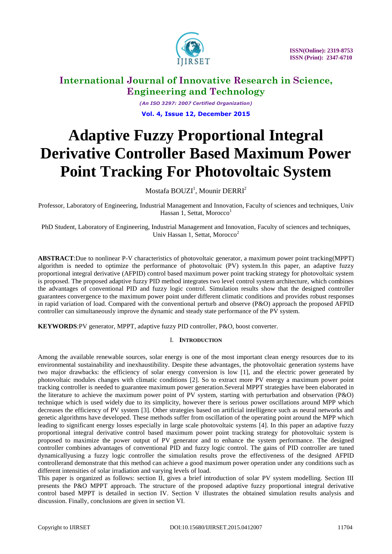

*(An ISO 3297: 2007 Certified Organization)* **Vol. 4, Issue 12, December 2015**

# **Adaptive Fuzzy Proportional Integral Derivative Controller Based Maximum Power Point Tracking For Photovoltaic System**

Mostafa BOUZI<sup>1</sup>, Mounir DERRI<sup>2</sup>

Professor, Laboratory of Engineering, Industrial Management and Innovation, Faculty of sciences and techniques, Univ Hassan 1, Settat, Morocco<sup>1</sup>

PhD Student, Laboratory of Engineering, Industrial Management and Innovation, Faculty of sciences and techniques, Univ Hassan 1, Settat, Morocco<sup>2</sup>

**ABSTRACT**:Due to nonlinear P-V characteristics of photovoltaic generator, a maximum power point tracking(MPPT) algorithm is needed to optimize the performance of photovoltaic (PV) system.In this paper, an adaptive fuzzy proportional integral derivative (AFPID) control based maximum power point tracking strategy for photovoltaic system is proposed. The proposed adaptive fuzzy PID method integrates two level control system architecture, which combines the advantages of conventional PID and fuzzy logic control. Simulation results show that the designed controller guarantees convergence to the maximum power point under different climatic conditions and provides robust responses in rapid variation of load. Compared with the conventional perturb and observe (P&O) approach the proposed AFPID controller can simultaneously improve the dynamic and steady state performance of the PV system.

**KEYWORDS**:PV generator, MPPT, adaptive fuzzy PID controller, P&O, boost converter.

### I. **INTRODUCTION**

Among the available renewable sources, solar energy is one of the most important clean energy resources due to its environmental sustainability and inexhaustibility. Despite these advantages, the photovoltaic generation systems have two major drawbacks: the efficiency of solar energy conversion is low [1], and the electric power generated by photovoltaic modules changes with climatic conditions [2]. So to extract more PV energy a maximum power point tracking controller is needed to guarantee maximum power generation.Several MPPT strategies have been elaborated in the literature to achieve the maximum power point of PV system, starting with perturbation and observation (P&O) technique which is used widely due to its simplicity, however there is serious power oscillations around MPP which decreases the efficiency of PV system [3]. Other strategies based on artificial intelligence such as neural networks and genetic algorithms have developed. These methods suffer from oscillation of the operating point around the MPP which leading to significant energy losses especially in large scale photovoltaic systems [4]. In this paper an adaptive fuzzy proportional integral derivative control based maximum power point tracking strategy for photovoltaic system is proposed to maximize the power output of PV generator and to enhance the system performance. The designed controller combines advantages of conventional PID and fuzzy logic control. The gains of PID controller are tuned dynamicallyusing a fuzzy logic controller the simulation results prove the effectiveness of the designed AFPID controllerand demonstrate that this method can achieve a good maximum power operation under any conditions such as different intensities of solar irradiation and varying levels of load.

This paper is organized as follows: section II, gives a brief introduction of solar PV system modelling. Section III presents the P&O MPPT approach. The structure of the proposed adaptive fuzzy proportional integral derivative control based MPPT is detailed in section IV. Section V illustrates the obtained simulation results analysis and discussion. Finally, conclusions are given in section VI.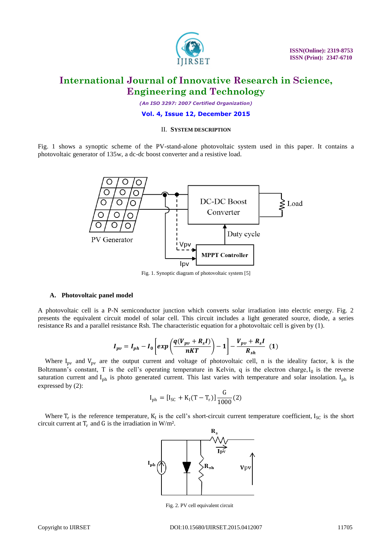

*(An ISO 3297: 2007 Certified Organization)*

#### **Vol. 4, Issue 12, December 2015**

#### II. **SYSTEM DESCRIPTION**

Fig. 1 shows a synoptic scheme of the PV-stand-alone photovoltaic system used in this paper. It contains a photovoltaic generator of 135w, a dc-dc boost converter and a resistive load.



#### Fig. 1. Synoptic diagram of photovoltaic system [5]

#### **A. Photovoltaic panel model**

A photovoltaic cell is a P-N semiconductor junction which converts solar irradiation into electric energy. Fig. 2 presents the equivalent circuit model of solar cell. This circuit includes a light generated source, diode, a series resistance Rs and a parallel resistance Rsh. The characteristic equation for a photovoltaic cell is given by (1).

$$
I_{pv} = I_{ph} - I_0 \left[ exp \left( \frac{q(V_{pv} + R_s I)}{nKT} \right) - 1 \right] - \frac{V_{pv} + R_s I}{R_{sh}} \tag{1}
$$

Where  $I_{pv}$  and  $V_{pv}$  are the output current and voltage of photovoltaic cell, n is the ideality factor, k is the Boltzmann's constant, T is the cell's operating temperature in Kelvin, q is the electron charge,  $I_0$  is the reverse saturation current and  $I_{ph}$  is photo generated current. This last varies with temperature and solar insolation.  $I_{ph}$  is expressed by (2):

$$
I_{\rm ph}=[I_{\rm SC}+K_{\rm I}(T-T_{\rm r})]\frac{{\rm G}}{1000}(2)
$$

Where  $T_r$  is the reference temperature,  $K_I$  is the cell's short-circuit current temperature coefficient,  $I_{SC}$  is the short circuit current at  $T_r$  and G is the irradiation in W/m<sup>2</sup>.



Fig. 2. PV cell equivalent circuit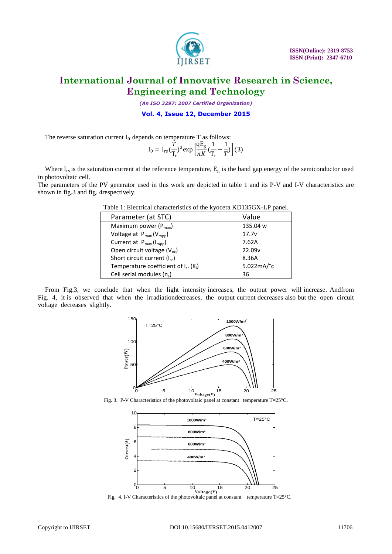

*(An ISO 3297: 2007 Certified Organization)*

**Vol. 4, Issue 12, December 2015**

The reverse saturation current  $I_0$  depends on temperature T as follows:

Cell serial modules  $(n_s)$ 

$$
I_0 = I_{rs} \left(\frac{\bar{T}}{T_r}\right)^3 \exp\left[\frac{qE_g}{nK} \left(\frac{1}{T_r} - \frac{1}{T}\right)\right] (3)
$$

Where  $I_{rs}$  is the saturation current at the reference temperature,  $E_{g}$  is the band gap energy of the semiconductor used in photovoltaic cell.

The parameters of the PV generator used in this work are depicted in table 1 and its P-V and I-V characteristics are shown in fig.3 and fig. 4respectively.

| Table 1. Electrical characteristics of the Kyoccia KDT55OA-ET panel. |                          |  |  |  |  |  |  |
|----------------------------------------------------------------------|--------------------------|--|--|--|--|--|--|
| Parameter (at STC)                                                   | Value                    |  |  |  |  |  |  |
| Maximum power $(P_{max})$                                            | 135.04 w                 |  |  |  |  |  |  |
| Voltage at $P_{max}(V_{mpp})$                                        | 17.7v                    |  |  |  |  |  |  |
| Current at $P_{max}(I_{mpp})$                                        | 7.62A                    |  |  |  |  |  |  |
| Open circuit voltage $(V_{oc})$                                      | 22.09 <sub>v</sub>       |  |  |  |  |  |  |
| Short circuit current $(I_{sc})$                                     | 8.36A                    |  |  |  |  |  |  |
| Temperature coefficient of $I_{sc}$ (K <sub>i</sub> )                | $5.022mA$ <sup>o</sup> c |  |  |  |  |  |  |
|                                                                      |                          |  |  |  |  |  |  |

Table 1: Electrical characteristics of the kyocera KD135GX-LP panel.

From Fig.3, we conclude that when the light intensity increases, the output power will increase. Andfrom Fig. 4, it is observed that when the irradiationdecreases, the output current decreases also but the open circuit voltage decreases slightly.

) 36



Fig. 3. P-V Characteristics of the photovoltaic panel at constant temperature T=25°C.



Fig. 4. I-V Characteristics of the photovoltaic panel at constant temperature  $T=25^{\circ}C$ .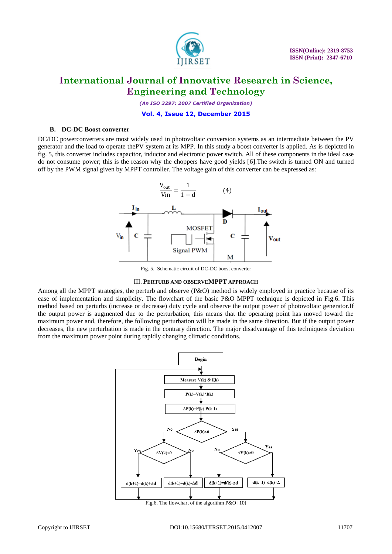

*(An ISO 3297: 2007 Certified Organization)*

#### **Vol. 4, Issue 12, December 2015**

#### **B. DC-DC Boost converter**

DC/DC powerconverters are most widely used in photovoltaic conversion systems as an intermediate between the PV generator and the load to operate thePV system at its MPP. In this study a boost converter is applied. As is depicted in fig. 5, this converter includes capacitor, inductor and electronic power switch. All of these components in the ideal case do not consume power; this is the reason why the choppers have good yields [6].The switch is turned ON and turned off by the PWM signal given by MPPT controller. The voltage gain of this converter can be expressed as:



Fig. 5. Schematic circuit of DC-DC boost converter

#### III. **PERTURB AND OBSERVEMPPT APPROACH**

Among all the MPPT strategies, the perturb and observe (P&O) method is widely employed in practice because of its ease of implementation and simplicity. The flowchart of the basic P&O MPPT technique is depicted in Fig.6. This method based on perturbs (increase or decrease) duty cycle and observe the output power of photovoltaic generator.If the output power is augmented due to the perturbation, this means that the operating point has moved toward the maximum power and, therefore, the following perturbation will be made in the same direction. But if the output power decreases, the new perturbation is made in the contrary direction. The major disadvantage of this techniqueis deviation from the maximum power point during rapidly changing climatic conditions.

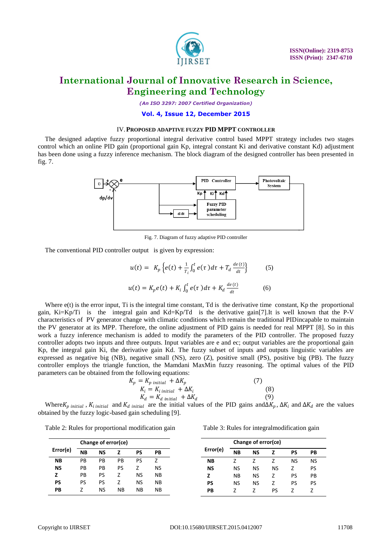

*(An ISO 3297: 2007 Certified Organization)*

#### **Vol. 4, Issue 12, December 2015**

#### IV.**PROPOSED ADAPTIVE FUZZY PID MPPT CONTROLLER**

The designed adaptive fuzzy proportional integral derivative control based MPPT strategy includes two stages control which an online PID gain (proportional gain Kp, integral constant Ki and derivative constant Kd) adjustment has been done using a fuzzy inference mechanism. The block diagram of the designed controller has been presented in fig. 7.



Fig. 7. Diagram of fuzzy adaptive PID controller

The conventional PID controller output is given by expression:

$$
u(t) = K_p \left\{ e(t) + \frac{1}{T_i} \int_0^t e(\tau) d\tau + T_d \frac{de(t)}{dt} \right\}
$$
 (5)

$$
u(t) = K_p e(t) + K_i \int_0^t e(\tau) d\tau + K_d \frac{de(t)}{dt}
$$
 (6)

Where  $e(t)$  is the error input. Ti is the integral time constant, Td is the derivative time constant. Kp the proportional gain, Ki=Kp/Ti is the integral gain and Kd=Kp/Td is the derivative gain[7].It is well known that the P-V characteristics of PV generator change with climatic conditions which remain the traditional PIDincapable to maintain the PV generator at its MPP. Therefore, the online adjustment of PID gains is needed for real MPPT [8]. So in this work a fuzzy inference mechanism is added to modify the parameters of the PID controller. The proposed fuzzy controller adopts two inputs and three outputs. Input variables are e and ec; output variables are the proportional gain Kp, the integral gain Ki, the derivative gain Kd. The fuzzy subset of inputs and outputs linguistic variables are expressed as negative big (NB), negative small (NS), zero (Z), positive small (PS), positive big (PB). The fuzzy controller employs the triangle function, the Mamdani MaxMin fuzzy reasoning. The optimal values of the PID parameters can be obtained from the following equations:

$$
K_p = K_{p \text{ initial}} + \Delta K_p \tag{7}
$$
  
\n
$$
K_i = K_{i \text{ initial}} + \Delta K_i \tag{8}
$$
  
\n
$$
K_d = K_d \text{ initial } + \Delta K_d \tag{9}
$$

Where  $K_p$  initial,  $K_i$  initial and  $K_d$  initial are the initial values of the PID gains and∆ $K_p$ , ∆ $K_i$  and ∆ $K_d$  are the values obtained by the fuzzy logic-based gain scheduling [9].

| Table 2: Rules for proportional modification gain | Table 3: Rules for integral modification gain |  |
|---------------------------------------------------|-----------------------------------------------|--|
|---------------------------------------------------|-----------------------------------------------|--|

|  |  | Table 3: Rules for integralmodification gain |  |  |
|--|--|----------------------------------------------|--|--|
|  |  |                                              |  |  |
|  |  |                                              |  |  |
|  |  |                                              |  |  |
|  |  |                                              |  |  |

|           | Change of error(ce) |           |           |    |    |
|-----------|---------------------|-----------|-----------|----|----|
| Error(e)  | <b>NB</b>           | <b>NS</b> |           | PS | PВ |
| <b>NB</b> | PB                  | PB        | PB        | PS |    |
| <b>NS</b> | PB                  | PB        | PS        |    | NS |
| Z         | PB                  | PS        |           | NS | ΝB |
| <b>PS</b> | PS                  | PS        |           | NS | ΝB |
| PВ        |                     | <b>NS</b> | <b>NB</b> | NΒ | ΝB |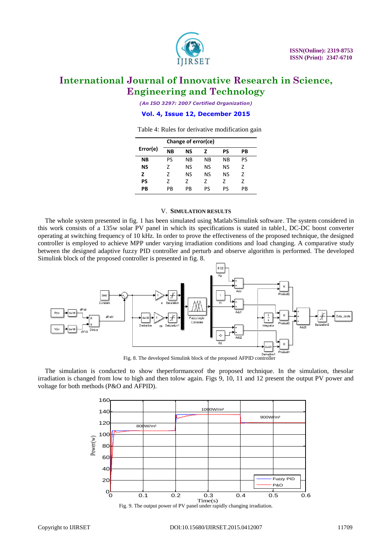

*(An ISO 3297: 2007 Certified Organization)*

**Vol. 4, Issue 12, December 2015**

Table 4: Rules for derivative modification gain

|          | Change of error(ce) |    |    |    |    |  |  |  |
|----------|---------------------|----|----|----|----|--|--|--|
| Error(e) | <b>NB</b>           | ΝS | 7  | PS | PВ |  |  |  |
| NΒ       | PS                  | ΝB | ΝB | ΝB | PS |  |  |  |
| ΝS       | 7                   | ΝS | ΝS | NS | 7  |  |  |  |
| z        | 7                   | ΝS | NS | NS | 7  |  |  |  |
| PS       | 7                   | 7  | 7  | 7  | 7  |  |  |  |
| PВ       | PB                  | PB | PS | ΡS | PB |  |  |  |

#### V. **SIMULATION RESULTS**

The whole system presented in fig. 1 has been simulated using Matlab/Simulink software. The system considered in this work consists of a 135w solar PV panel in which its specifications is stated in table1, DC-DC boost converter operating at switching frequency of 10 kHz. In order to prove the effectiveness of the proposed technique, the designed controller is employed to achieve MPP under varying irradiation conditions and load changing. A comparative study between the designed adaptive fuzzy PID controller and perturb and observe algorithm is performed. The developed Simulink block of the proposed controller is presented in fig. 8.



Fig. 8. The developed Simulink block of the proposed AFPID controller

The simulation is conducted to show theperformanceof the proposed technique. In the simulation, thesolar irradiation is changed from low to high and then tolow again. Figs 9, 10, 11 and 12 present the output PV power and voltage for both methods (P&O and AFPID).

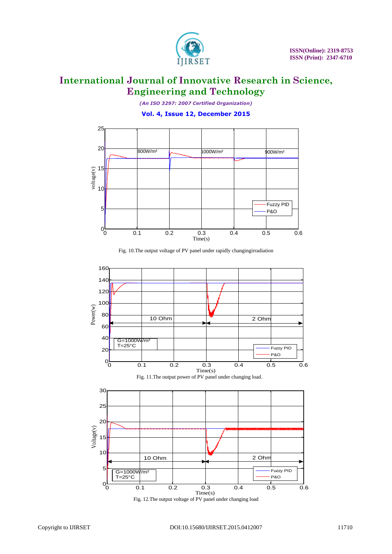

*(An ISO 3297: 2007 Certified Organization)*

**Vol. 4, Issue 12, December 2015**





Fig. 10.The output voltage of PV panel under rapidly changingirradiation